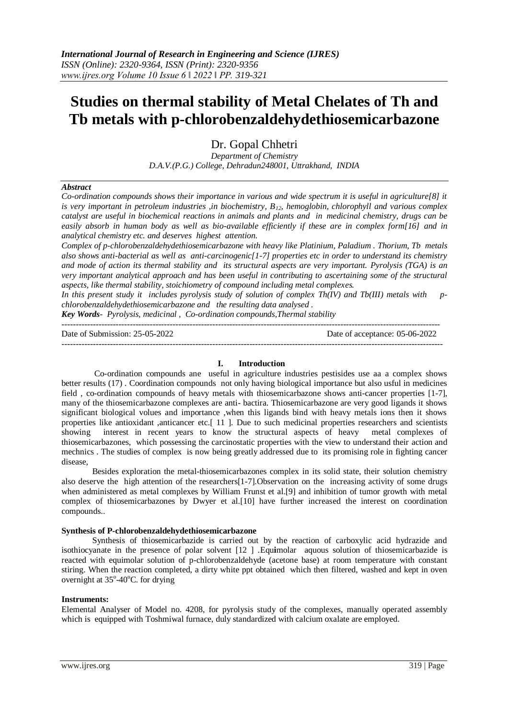# **Studies on thermal stability of Metal Chelates of Th and Tb metals with p-chlorobenzaldehydethiosemicarbazone**

Dr. Gopal Chhetri

*Department of Chemistry D.A.V.(P.G.) College, Dehradun248001, Uttrakhand, INDIA*

## *Abstract*

*Co-ordination compounds shows their importance in various and wide spectrum it is useful in agriculture[8] it is very important in petroleum industries ,in biochemistry, B12, hemoglobin, chlorophyll and various complex catalyst are useful in biochemical reactions in animals and plants and in medicinal chemistry, drugs can be easily absorb in human body as well as bio-available efficiently if these are in complex form[16] and in analytical chemistry etc. and deserves highest attention.*

*Complex of p-chlorobenzaldehydethiosemicarbazone with heavy like Platinium, Paladium . Thorium, Tb metals also shows anti-bacterial as well as anti-carcinogenic[1-7] properties etc in order to understand its chemistry and mode of action its thermal stability and its structural aspects are very important. Pyrolysis (TGA) is an very important analytical approach and has been useful in contributing to ascertaining some of the structural aspects, like thermal stability, stoichiometry of compound including metal complexes.*

*In this present study it includes pyrolysis study of solution of complex Th(IV) and Tb(III) metals with pchlorobenzaldehydethiosemicarbazone and the resulting data analysed .*

*Key Words- Pyrolysis, medicinal , Co-ordination compounds,Thermal stability*

-------------------------------------------------------------------------------------------------------------------------------------

Date of Submission: 25-05-2022 Date of acceptance: 05-06-2022

### **I. Introduction**

--------------------------------------------------------------------------------------------------------------------------------------

Co-ordination compounds ane useful in agriculture industries pestisides use aa a complex shows better results (17) . Coordination compounds not only having biological importance but also usful in medicines field , co-ordination compounds of heavy metals with thiosemicarbazone shows anti-cancer properties [1-7], many of the thiosemicarbazone complexes are anti- bactira. Thiosemicarbazone are very good ligands it shows significant biological volues and importance ,when this ligands bind with heavy metals ions then it shows properties like antioxidant ,anticancer etc.[ 11 ]. Due to such medicinal properties researchers and scientists showing interest in recent years to know the structural aspects of heavy metal complexes of thiosemicarbazones, which possessing the carcinostatic properties with the view to understand their action and mechnics . The studies of complex is now being greatly addressed due to its promising role in fighting cancer disease,

Besides exploration the metal-thiosemicarbazones complex in its solid state, their solution chemistry also deserve the high attention of the researchers[1-7].Observation on the increasing activity of some drugs when administered as metal complexes by William Frunst et al.[9] and inhibition of tumor growth with metal complex of thiosemicarbazones by Dwyer et al.[10] have further increased the interest on coordination compounds..

# **Synthesis of P-chlorobenzaldehydethiosemicarbazone**

Synthesis of thiosemicarbazide is carried out by the reaction of carboxylic acid hydrazide and isothiocyanate in the presence of polar solvent [12 ] .Equ**i**molar aquous solution of thiosemicarbazide is reacted with equimolar solution of p-chlorobenzaldehyde (acetone base) at room temperature with constant stiring. When the reaction completed, a dirty white ppt obtained which then filtered, washed and kept in oven overnight at 35°-40°C. for drying

# **Instruments:**

Elemental Analyser of Model no. 4208, for pyrolysis study of the complexes, manually operated assembly which is equipped with Toshmiwal furnace, duly standardized with calcium oxalate are employed.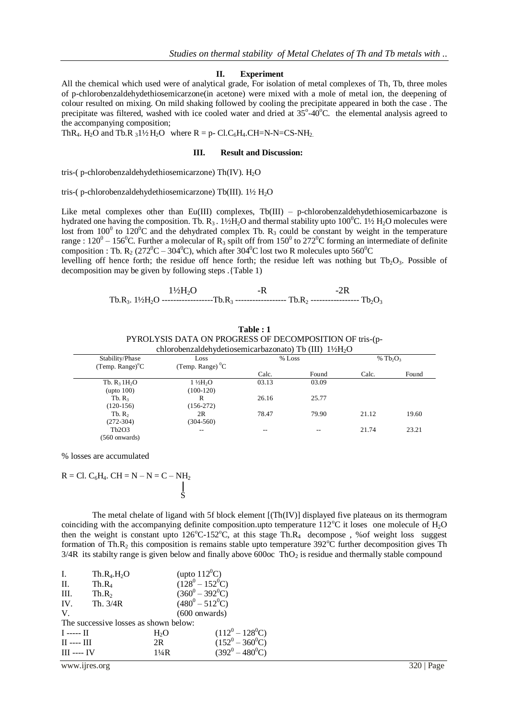#### **II. Experiment**

All the chemical which used were of analytical grade, For isolation of metal complexes of Th, Tb, three moles of p-chlorobenzaldehydethiosemicarzone(in acetone) were mixed with a mole of metal ion, the deepening of colour resulted on mixing. On mild shaking followed by cooling the precipitate appeared in both the case . The precipitate was filtered, washed with ice cooled water and dried at  $35^{\circ}$ -40 $^{\circ}$ C. the elemental analysis agreed to the accompanying composition;

ThR<sub>4</sub>. H<sub>2</sub>O and Tb.R  $_31\frac{1}{2}H_2O$  where R = p- Cl.C<sub>6</sub>H<sub>4</sub>.CH=N-N=CS-NH<sub>2</sub>.

#### **III. Result and Discussion:**

tris-( p-chlorobenzaldehydethiosemicarzone) Th(IV).  $H_2O$ 

tris-( p-chlorobenzaldehydethiosemicarzone) Tb(III). 1½ H<sub>2</sub>O

Like metal complexes other than Eu(III) complexes, Tb(III) – p-chlorobenzaldehydethiosemicarbazone is hydrated one having the composition. Tb.  $R_3$ . 1½H<sub>2</sub>O and thermal stability upto 100<sup>0</sup>C. 1½ H<sub>2</sub>O molecules were lost from  $100^{\circ}$  to  $120^{\circ}$ C and the dehydrated complex Tb. R<sub>3</sub> could be constant by weight in the temperature range :  $120^0 - 156^0$ C. Further a molecular of R<sub>3</sub> spilt off from  $150^0$  to  $272^0$ C forming an intermediate of definite composition : Tb. R<sub>2</sub> (272<sup>0</sup>C – 304<sup>0</sup>C), which after 304<sup>0</sup>C lost two R molecules upto 560<sup>0</sup>C

levelling off hence forth; the residue off hence forth; the residue left was nothing but  $Tb_2O_3$ . Possible of decomposition may be given by following steps .{Table 1)

Tb.R<sub>3</sub>. 1½H<sub>2</sub>O ------------------Tb.R<sub>3</sub> ------------------ Tb.R<sub>2</sub> ------------------ Tb<sub>2</sub>O<sub>3</sub>  $1\frac{1}{2}H_2O$  -R -2R

| chlorobenzaldehydetiosemicarbazonato) Tb (III) $1\frac{1}{2}H_2O$ |                       |        |       |       |             |  |  |  |
|-------------------------------------------------------------------|-----------------------|--------|-------|-------|-------------|--|--|--|
| Stability/Phase                                                   | Loss                  | % Loss |       |       | % $Tb_2O_3$ |  |  |  |
| $(Temp. Range)^{\circ}C$                                          | (Temp. Range) ${}^0C$ |        |       |       |             |  |  |  |
|                                                                   |                       | Calc.  | Found | Calc. | Found       |  |  |  |
| Tb. $R_3$ 1H <sub>2</sub> O                                       | $1\frac{1}{2}H2O$     | 03.13  | 03.09 |       |             |  |  |  |
| upto 100)                                                         | $(100-120)$           |        |       |       |             |  |  |  |
| Tb. R <sub>3</sub>                                                | R                     | 26.16  | 25.77 |       |             |  |  |  |
| $(120-156)$                                                       | $(156-272)$           |        |       |       |             |  |  |  |
| Tb. $R_2$                                                         | 2R                    | 78.47  | 79.90 | 21.12 | 19.60       |  |  |  |
| $(272-304)$                                                       | $(304 - 560)$         |        |       |       |             |  |  |  |
| Tb2O3                                                             | --                    | --     |       | 21.74 | 23.21       |  |  |  |
| (560 onwards)                                                     |                       |        |       |       |             |  |  |  |

**Table : 1** PYROLYSIS DATA ON PROGRESS OF DECOMPOSITION OF tris-(p-

% losses are accumulated

$$
R = CI. C6H4. CH = N - N = C - NH2
$$

The metal chelate of ligand with 5f block element [(Th(IV)] displayed five plateaus on its thermogram coinciding with the accompanying definite composition.upto temperature  $112^{\circ}$ C it loses one molecule of  $H_2O$ then the weight is constant upto  $126^{\circ}C \cdot 152^{\circ}C$ , at this stage Th.R<sub>4</sub> decompose, %of weight loss suggest formation of Th.R<sub>2</sub> this composition is remains stable upto temperature 392 $^{\circ}$ C further decomposition gives Th  $3/4R$  its stabilty range is given below and finally above 600 oc ThO<sub>2</sub> is residue and thermally stable compound

| Ι.                                    | $Th.R_4.H_2O$     | (upto $112^0C$ )        |                    |  |  |  |
|---------------------------------------|-------------------|-------------------------|--------------------|--|--|--|
| II.                                   | $Th.R_4$          | $(128^0 - 152^0C)$      |                    |  |  |  |
| III.                                  | Th.R <sub>2</sub> | $(360^0 - 392^0C)$      |                    |  |  |  |
| IV.                                   | Th. $3/4R$        | $(480^0 - 512^0C)$      |                    |  |  |  |
| $V_{\cdot}$                           |                   | $(600 \text{ onwards})$ |                    |  |  |  |
| The successive losses as shown below: |                   |                         |                    |  |  |  |
| $I \longrightarrow II$                | H <sub>2</sub> O  |                         | $(112^0 - 128^0C)$ |  |  |  |
| $\Pi$ ---- $\Pi$                      | 2R                |                         | $(152^0 - 360^0C)$ |  |  |  |
| $III$ ---- IV                         | $1\frac{1}{4}R$   |                         | $(392^0 - 480^0C)$ |  |  |  |